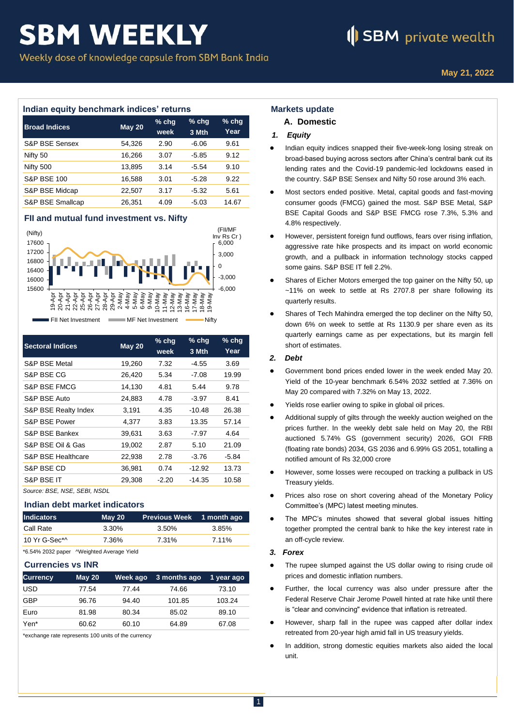## **SBM WEEKLY**

Weekly dose of knowledge capsule from SBM Bank India

### **Indian equity benchmark indices' returns**

| <b>Broad Indices</b>      | <b>May 20</b> | $%$ chq<br>week | $%$ chq<br>3 Mth | $%$ chg<br>Year |
|---------------------------|---------------|-----------------|------------------|-----------------|
| <b>S&amp;P BSE Sensex</b> | 54,326        | 2.90            | $-6.06$          | 9.61            |
| Nifty 50                  | 16,266        | 3.07            | $-5.85$          | 9.12            |
| Nifty 500                 | 13,895        | 3.14            | $-5.54$          | 9.10            |
| <b>S&amp;P BSE 100</b>    | 16,588        | 3.01            | $-5.28$          | 9.22            |
| S&P BSE Midcap            | 22,507        | 3.17            | $-5.32$          | 5.61            |
| S&P BSE Smallcap          | 26,351        | 4.09            | -5.03            | 14.67           |

### **FII and mutual fund investment vs. Nifty**



| <b>Sectoral Indices</b>      | <b>May 20</b> | $%$ chg<br>week | $%$ chg<br>3 Mth | $%$ chg<br>Year |
|------------------------------|---------------|-----------------|------------------|-----------------|
| S&P BSE Metal                | 19,260        | 7.32            | $-4.55$          | 3.69            |
| S&P BSE CG                   | 26,420        | 5.34            | $-7.08$          | 19.99           |
| S&P BSE FMCG                 | 14,130        | 4.81            | 5.44             | 9.78            |
| S&P BSE Auto                 | 24,883        | 4.78            | $-3.97$          | 8.41            |
| S&P BSE Realty Index         | 3,191         | 4.35            | $-10.48$         | 26.38           |
| S&P BSE Power                | 4,377         | 3.83            | 13.35            | 57.14           |
| S&P BSE Bankex               | 39,631        | 3.63            | $-7.97$          | 4.64            |
| S&P BSE Oil & Gas            | 19,002        | 2.87            | 5.10             | 21.09           |
| S&P BSE Healthcare           | 22,938        | 2.78            | $-3.76$          | $-5.84$         |
| S&P BSE CD                   | 36,981        | 0.74            | -12.92           | 13.73           |
| S&P BSE IT                   | 29,308        | $-2.20$         | $-14.35$         | 10.58           |
| Source: BSE, NSE, SEBI, NSDL |               |                 |                  |                 |

### **Indian debt market indicators**

| <b>Indicators</b> | May 20 | Previous Week 1 month ago |       |
|-------------------|--------|---------------------------|-------|
| Call Rate         | 3.30%  | 3.50%                     | 3.85% |
| 10 Yr G-Sec*^     | 7.36%  | 7.31%                     | 7.11% |

\*6.54% 2032 paper ^Weighted Average Yield

### **Currencies vs INR**

| <b>Currency</b> | <b>May 20</b> | Week ago | 3 months ago | 1 year ago |
|-----------------|---------------|----------|--------------|------------|
| <b>USD</b>      | 77.54         | 77.44    | 74.66        | 73.10      |
| <b>GBP</b>      | 96.76         | 94.40    | 101.85       | 103.24     |
| Euro            | 81.98         | 80.34    | 85.02        | 89.10      |
| Yen*            | 60.62         | 60.10    | 64.89        | 67.08      |

\*exchange rate represents 100 units of the currency

### **Markets update**

### **A. Domestic**

### *1. Equity*

- Indian equity indices snapped their five-week-long losing streak on broad-based buying across sectors after China's central bank cut its lending rates and the Covid-19 pandemic-led lockdowns eased in the country. S&P BSE Sensex and Nifty 50 rose around 3% each.
- Most sectors ended positive. Metal, capital goods and fast-moving consumer goods (FMCG) gained the most. S&P BSE Metal, S&P BSE Capital Goods and S&P BSE FMCG rose 7.3%, 5.3% and 4.8% respectively.
- However, persistent foreign fund outflows, fears over rising inflation, aggressive rate hike prospects and its impact on world economic growth, and a pullback in information technology stocks capped some gains. S&P BSE IT fell 2.2%.
- Shares of Eicher Motors emerged the top gainer on the Nifty 50, up ~11% on week to settle at Rs 2707.8 per share following its quarterly results.
- Shares of Tech Mahindra emerged the top decliner on the Nifty 50, down 6% on week to settle at Rs 1130.9 per share even as its quarterly earnings came as per expectations, but its margin fell short of estimates.

### *2. Debt*

- Government bond prices ended lower in the week ended May 20. Yield of the 10-year benchmark 6.54% 2032 settled at 7.36% on May 20 compared with 7.32% on May 13, 2022.
- Yields rose earlier owing to spike in global oil prices.
- Additional supply of gilts through the weekly auction weighed on the prices further. In the weekly debt sale held on May 20, the RBI auctioned 5.74% GS (government security) 2026, GOI FRB (floating rate bonds) 2034, GS 2036 and 6.99% GS 2051, totalling a notified amount of Rs 32,000 crore
- However, some losses were recouped on tracking a pullback in US Treasury yields.
- Prices also rose on short covering ahead of the Monetary Policy Committee's (MPC) latest meeting minutes.
- The MPC's minutes showed that several global issues hitting together prompted the central bank to hike the key interest rate in an off-cycle review.

### *3. Forex*

- The rupee slumped against the US dollar owing to rising crude oil prices and domestic inflation numbers.
- Further, the local currency was also under pressure after the Federal Reserve Chair Jerome Powell hinted at rate hike until there is "clear and convincing" evidence that inflation is retreated.
- However, sharp fall in the rupee was capped after dollar index retreated from 20-year high amid fall in US treasury yields.
- In addition, strong domestic equities markets also aided the local unit.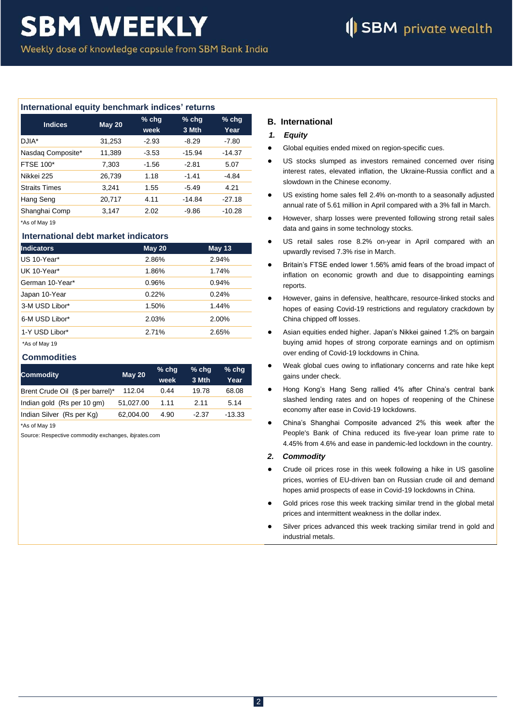### **International equity benchmark indices' returns**

| <b>Indices</b>       | <b>May 20</b> | $%$ chg<br>week | $%$ chg<br>3 Mth | $%$ chg<br>Year |
|----------------------|---------------|-----------------|------------------|-----------------|
| DJIA*                | 31,253        | $-2.93$         | $-8.29$          | $-7.80$         |
| Nasdaq Composite*    | 11,389        | $-3.53$         | $-15.94$         | $-14.37$        |
| <b>FTSE 100*</b>     | 7,303         | $-1.56$         | $-2.81$          | 5.07            |
| Nikkei 225           | 26,739        | 1.18            | $-1.41$          | -4.84           |
| <b>Straits Times</b> | 3.241         | 1.55            | $-5.49$          | 4.21            |
| Hang Seng            | 20,717        | 4.11            | $-14.84$         | $-27.18$        |
| Shanghai Comp        | 3.147         | 2.02            | $-9.86$          | $-10.28$        |

\*As of May 19

### **International debt market indicators**

| <b>Indicators</b> | <b>May 20</b> | <b>May 13</b> |
|-------------------|---------------|---------------|
| US 10-Year*       | 2.86%         | 2.94%         |
| UK 10-Year*       | 1.86%         | 1.74%         |
| German 10-Year*   | 0.96%         | 0.94%         |
| Japan 10-Year     | 0.22%         | 0.24%         |
| 3-M USD Libor*    | 1.50%         | 1.44%         |
| 6-M USD Libor*    | 2.03%         | 2.00%         |
| 1-Y USD Libor*    | 2.71%         | 2.65%         |
| *As of May 19     |               |               |

### **Commodities**

| <b>Commodity</b>                 | <b>May 20</b> | $%$ chg<br>week | $%$ chq<br>3 Mth | $%$ chq<br>Year |
|----------------------------------|---------------|-----------------|------------------|-----------------|
| Brent Crude Oil (\$ per barrel)* | 112.04        | 0.44            | 19.78            | 68.08           |
| Indian gold (Rs per 10 gm)       | 51.027.00     | 1.11            | 2.11             | 5.14            |
| Indian Silver (Rs per Kg)        | 62.004.00     | 4.90            | $-2.37$          | $-13.33$        |

\*As of May 19

Source: Respective commodity exchanges, ibjrates.com

### **B. International**

### *1. Equity*

- Global equities ended mixed on region-specific cues.
- US stocks slumped as investors remained concerned over rising interest rates, elevated inflation, the Ukraine-Russia conflict and a slowdown in the Chinese economy.
- US existing home sales fell 2.4% on-month to a seasonally adjusted annual rate of 5.61 million in April compared with a 3% fall in March.
- However, sharp losses were prevented following strong retail sales data and gains in some technology stocks.
- US retail sales rose 8.2% on-year in April compared with an upwardly revised 7.3% rise in March.
- Britain's FTSE ended lower 1.56% amid fears of the broad impact of inflation on economic growth and due to disappointing earnings reports.
- However, gains in defensive, healthcare, resource-linked stocks and hopes of easing Covid-19 restrictions and regulatory crackdown by China chipped off losses.
- Asian equities ended higher. Japan's Nikkei gained 1.2% on bargain buying amid hopes of strong corporate earnings and on optimism over ending of Covid-19 lockdowns in China.
- Weak global cues owing to inflationary concerns and rate hike kept gains under check.
- Hong Kong's Hang Seng rallied 4% after China's central bank slashed lending rates and on hopes of reopening of the Chinese economy after ease in Covid-19 lockdowns.
- China's Shanghai Composite advanced 2% this week after the People's Bank of China reduced its five-year loan prime rate to 4.45% from 4.6% and ease in pandemic-led lockdown in the country.

### *2. Commodity*

- Crude oil prices rose in this week following a hike in US gasoline prices, worries of EU-driven ban on Russian crude oil and demand hopes amid prospects of ease in Covid-19 lockdowns in China.
- Gold prices rose this week tracking similar trend in the global metal prices and intermittent weakness in the dollar index.
- Silver prices advanced this week tracking similar trend in gold and industrial metals.